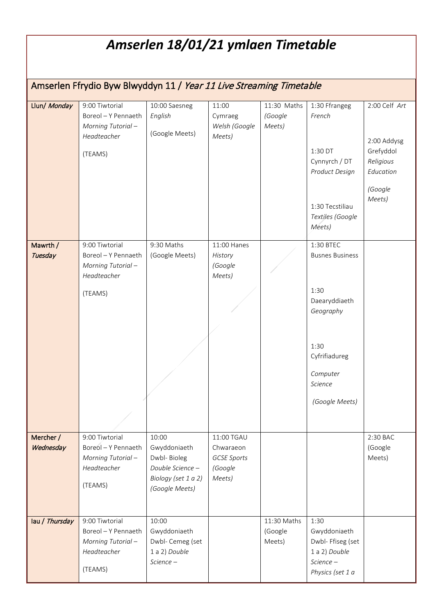## *Amserlen 18/01/21 ymlaen Timetable* Amserlen Ffrydio Byw Blwyddyn 11 / Year 11 Live Streaming Timetable Llun/ Monday 9:00 Tiwtorial Boreol – Y Pennaeth *Morning Tutorial – Headteacher* (TEAMS) 10:00 Saesneg *English*  (Google Meets) 11:00 Cymraeg *Welsh (Google Meets)* 11:30 Maths *(Google Meets)* 1:30 Ffrangeg *French* 1:30 DT Cynnyrch / DT *Product Design* 1:30 Tecstiliau *Textiles (Google Meets)* 2:00 Celf *Art*  2:00 Addysg Grefyddol *Religious Education (Google Meets)* Mawrth / **Tuesday** 9:00 Tiwtorial Boreol – Y Pennaeth *Morning Tutorial – Headteacher* (TEAMS) 9:30 Maths (Google Meets) 11:00 Hanes *History (Google Meets)* 1:30 BTEC Busnes Business 1:30 Daearyddiaeth *Geography* 1:30 Cyfrifiadureg *Computer Science (Google Meets)* Mercher / **Wednesday** 9:00 Tiwtorial Boreol – Y Pennaeth *Morning Tutorial – Headteacher* (TEAMS) 10:00 Gwyddoniaeth Dwbl- Bioleg *Double Science – Biology (set 1 a 2) (Google Meets)* 11:00 TGAU Chwaraeon *GCSE Sports (Google Meets)* 2:30 BAC (Google Meets)

11:30 Maths (Google Meets)

1:30

Gwyddoniaeth Dwbl- Ffiseg (set 1 a 2) *Double Science – Physics (set 1 a* 

lau / Thursday 9:00 Tiwtorial

Boreol – Y Pennaeth *Morning Tutorial – Headteacher*

10:00

Gwyddoniaeth Dwbl- Cemeg (set 1 a 2) *Double Science –*

(TEAMS)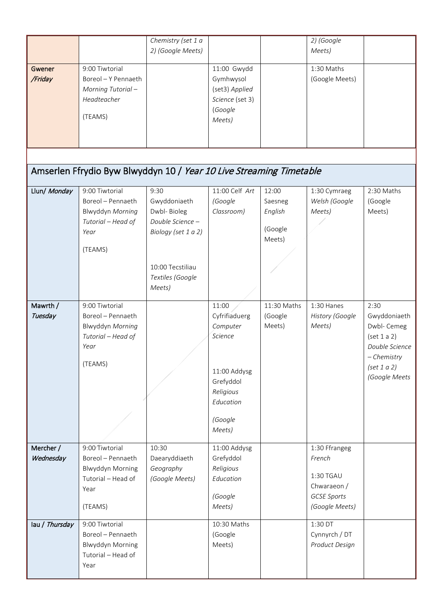|                        |                                                                                                         | Chemistry (set 1 a<br>2) (Google Meets)                                                                                          |                                                                                                                           |                                                  | 2) (Google<br>Meets)                                                                        |                                                                                                                     |
|------------------------|---------------------------------------------------------------------------------------------------------|----------------------------------------------------------------------------------------------------------------------------------|---------------------------------------------------------------------------------------------------------------------------|--------------------------------------------------|---------------------------------------------------------------------------------------------|---------------------------------------------------------------------------------------------------------------------|
| Gwener<br>/Friday      | 9:00 Tiwtorial<br>Boreol - Y Pennaeth<br>Morning Tutorial-<br>Headteacher<br>(TEAMS)                    |                                                                                                                                  | 11:00 Gwydd<br>Gymhwysol<br>(set3) Applied<br>Science (set 3)<br>(Google<br>Meets)                                        |                                                  | 1:30 Maths<br>(Google Meets)                                                                |                                                                                                                     |
|                        | Amserlen Ffrydio Byw Blwyddyn 10 / Year 10 Live Streaming Timetable                                     |                                                                                                                                  |                                                                                                                           |                                                  |                                                                                             |                                                                                                                     |
| Llun/ Monday           | 9:00 Tiwtorial<br>Boreol - Pennaeth<br>Blwyddyn Morning<br>Tutorial - Head of<br>Year<br>(TEAMS)        | 9:30<br>Gwyddoniaeth<br>Dwbl-Bioleg<br>Double Science -<br>Biology (set 1 a 2)<br>10:00 Tecstiliau<br>Textiles (Google<br>Meets) | 11:00 Celf Art<br>(Google<br>Classroom)                                                                                   | 12:00<br>Saesneg<br>English<br>(Google<br>Meets) | 1:30 Cymraeg<br>Welsh (Google<br>Meets)                                                     | 2:30 Maths<br>(Google<br>Meets)                                                                                     |
| Mawrth /<br>Tuesday    | 9:00 Tiwtorial<br>Boreol - Pennaeth<br>Blwyddyn Morning<br>Tutorial - Head of<br>Year<br>(TEAMS)        |                                                                                                                                  | 11:00<br>Cyfrifiaduerg<br>Computer<br>Science<br>11:00 Addysg<br>Grefyddol<br>Religious<br>Education<br>(Google<br>Meets) | 11:30 Maths<br>(Google<br>Meets)                 | 1:30 Hanes<br>History (Google<br>Meets)                                                     | 2:30<br>Gwyddoniaeth<br>Dwbl- Cemeg<br>(set 1 a 2)<br>Double Science<br>- Chemistry<br>(set 1 a 2)<br>(Google Meets |
| Mercher /<br>Wednesday | 9:00 Tiwtorial<br>Boreol - Pennaeth<br><b>Blwyddyn Morning</b><br>Tutorial - Head of<br>Year<br>(TEAMS) | 10:30<br>Daearyddiaeth<br>Geography<br>(Google Meets)                                                                            | 11:00 Addysg<br>Grefyddol<br>Religious<br>Education<br>(Google<br>Meets)                                                  |                                                  | 1:30 Ffrangeg<br>French<br>1:30 TGAU<br>Chwaraeon /<br><b>GCSE Sports</b><br>(Google Meets) |                                                                                                                     |
| lau / Thursday         | 9:00 Tiwtorial<br>Boreol - Pennaeth<br><b>Blwyddyn Morning</b><br>Tutorial - Head of<br>Year            |                                                                                                                                  | 10:30 Maths<br>(Google<br>Meets)                                                                                          |                                                  | 1:30 DT<br>Cynnyrch / DT<br>Product Design                                                  |                                                                                                                     |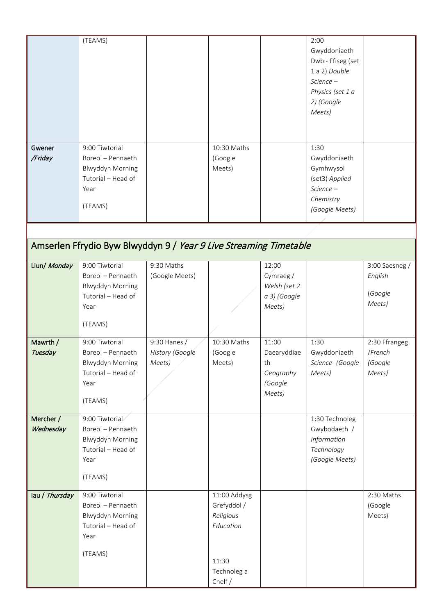|                                                                   | (TEAMS)                                       |                              |                          |                    | 2:00<br>Gwyddoniaeth<br>Dwbl- Ffiseg (set<br>1 a 2) Double |                           |  |
|-------------------------------------------------------------------|-----------------------------------------------|------------------------------|--------------------------|--------------------|------------------------------------------------------------|---------------------------|--|
|                                                                   |                                               |                              |                          |                    | Science-                                                   |                           |  |
|                                                                   |                                               |                              |                          |                    | Physics (set 1 a<br>2) (Google                             |                           |  |
|                                                                   |                                               |                              |                          |                    | Meets)                                                     |                           |  |
|                                                                   |                                               |                              |                          |                    |                                                            |                           |  |
| Gwener                                                            | 9:00 Tiwtorial                                |                              | 10:30 Maths              |                    | 1:30                                                       |                           |  |
| /Friday                                                           | Boreol - Pennaeth                             |                              | (Google                  |                    | Gwyddoniaeth                                               |                           |  |
|                                                                   | <b>Blwyddyn Morning</b><br>Tutorial - Head of |                              | Meets)                   |                    | Gymhwysol                                                  |                           |  |
|                                                                   | Year                                          |                              |                          |                    | (set3) Applied<br>Science-                                 |                           |  |
|                                                                   | (TEAMS)                                       |                              |                          |                    | Chemistry                                                  |                           |  |
|                                                                   |                                               |                              |                          |                    | (Google Meets)                                             |                           |  |
|                                                                   |                                               |                              |                          |                    |                                                            |                           |  |
| Amserlen Ffrydio Byw Blwyddyn 9 / Year 9 Live Streaming Timetable |                                               |                              |                          |                    |                                                            |                           |  |
| Llun/ Monday                                                      | 9:00 Tiwtorial<br>Boreol - Pennaeth           | 9:30 Maths<br>(Google Meets) |                          | 12:00<br>Cymraeg / |                                                            | 3:00 Saesneg /<br>English |  |
|                                                                   | <b>Blwyddyn Morning</b>                       |                              |                          | Welsh (set 2       |                                                            |                           |  |
|                                                                   | Tutorial - Head of                            |                              |                          | a 3) (Google       |                                                            | (Google<br>Meets)         |  |
|                                                                   | Year                                          |                              |                          | Meets)             |                                                            |                           |  |
|                                                                   | (TEAMS)                                       |                              |                          |                    |                                                            |                           |  |
| Mawrth /                                                          | 9:00 Tiwtorial                                | 9:30 Hanes /                 | 10:30 Maths              | 11:00              | 1:30                                                       | 2:30 Ffrangeg             |  |
| Tuesday                                                           | Boreol - Pennaeth<br>Blwyddyn Morning         | History (Google<br>Meets)    | (Google<br>Meets)        | Daearyddiae<br>th  | Gwyddoniaeth<br>Science- (Google                           | /French<br>(Google        |  |
|                                                                   | Tutorial - Head of                            |                              |                          | Geography          | Meets)                                                     | Meets)                    |  |
|                                                                   | Year                                          |                              |                          | (Google<br>Meets)  |                                                            |                           |  |
|                                                                   | (TEAMS)                                       |                              |                          |                    |                                                            |                           |  |
| Mercher /                                                         | 9:00 Tiwtorial                                |                              |                          |                    | 1:30 Technoleg                                             |                           |  |
| Wednesday                                                         | Boreol - Pennaeth<br><b>Blwyddyn Morning</b>  |                              |                          |                    | Gwybodaeth /<br>Information                                |                           |  |
|                                                                   | Tutorial - Head of                            |                              |                          |                    | Technology                                                 |                           |  |
|                                                                   | Year                                          |                              |                          |                    | (Google Meets)                                             |                           |  |
|                                                                   | (TEAMS)                                       |                              |                          |                    |                                                            |                           |  |
| lau / Thursday                                                    | 9:00 Tiwtorial                                |                              | 11:00 Addysg             |                    |                                                            | 2:30 Maths                |  |
|                                                                   | Boreol - Pennaeth<br><b>Blwyddyn Morning</b>  |                              | Grefyddol /<br>Religious |                    |                                                            | (Google<br>Meets)         |  |
|                                                                   | Tutorial - Head of                            |                              | Education                |                    |                                                            |                           |  |
|                                                                   | Year                                          |                              |                          |                    |                                                            |                           |  |
|                                                                   | (TEAMS)                                       |                              | 11:30                    |                    |                                                            |                           |  |
|                                                                   |                                               |                              | Technoleg a              |                    |                                                            |                           |  |
|                                                                   |                                               |                              | Chelf /                  |                    |                                                            |                           |  |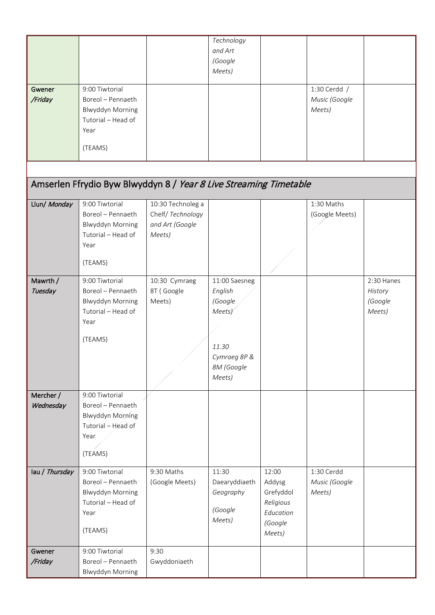|                |                                                                   |                                        | Technology    |           |                |            |
|----------------|-------------------------------------------------------------------|----------------------------------------|---------------|-----------|----------------|------------|
|                |                                                                   |                                        | and Art       |           |                |            |
|                |                                                                   |                                        | (Google       |           |                |            |
|                |                                                                   |                                        | Meets)        |           |                |            |
| Gwener         | 9:00 Tiwtorial                                                    |                                        |               |           | 1:30 Cerdd /   |            |
| /Friday        | Boreol - Pennaeth                                                 |                                        |               |           | Music (Google  |            |
|                | Blwyddyn Morning                                                  |                                        |               |           | Meets)         |            |
|                | Tutorial - Head of                                                |                                        |               |           |                |            |
|                | Year                                                              |                                        |               |           |                |            |
|                | (TEAMS)                                                           |                                        |               |           |                |            |
|                |                                                                   |                                        |               |           |                |            |
|                |                                                                   |                                        |               |           |                |            |
|                | Amserlen Ffrydio Byw Blwyddyn 8 / Year 8 Live Streaming Timetable |                                        |               |           |                |            |
|                |                                                                   |                                        |               |           |                |            |
| Llun/ Monday   | 9:00 Tiwtorial<br>Boreol - Pennaeth                               | 10:30 Technoleg a<br>Chelf/ Technology |               |           | 1:30 Maths     |            |
|                | <b>Blwyddyn Morning</b>                                           | and Art (Google                        |               |           | (Google Meets) |            |
|                | Tutorial - Head of                                                | Meets)                                 |               |           |                |            |
|                | Year                                                              |                                        |               |           |                |            |
|                |                                                                   |                                        |               |           |                |            |
|                | (TEAMS)                                                           |                                        |               |           |                |            |
| Mawrth /       | 9:00 Tiwtorial                                                    | 10:30 Cymraeg                          | 11:00 Saesneg |           |                | 2:30 Hanes |
| Tuesday        | Boreol - Pennaeth                                                 | 8T (Google                             | English       |           |                | History    |
|                | <b>Blwyddyn Morning</b>                                           | Meets)                                 | (Google       |           |                | (Google    |
|                | Tutorial - Head of                                                |                                        | Meets)        |           |                | Meets)     |
|                | Year                                                              |                                        |               |           |                |            |
|                | (TEAMS)                                                           |                                        |               |           |                |            |
|                |                                                                   |                                        | 11.30         |           |                |            |
|                |                                                                   |                                        | Cymraeg 8P &  |           |                |            |
|                |                                                                   |                                        | 8M (Google    |           |                |            |
|                |                                                                   |                                        | Meets)        |           |                |            |
| Mercher /      | 9:00 Tiwtorial                                                    |                                        |               |           |                |            |
| Wednesday      | Boreol - Pennaeth                                                 |                                        |               |           |                |            |
|                | Blwyddyn Morning                                                  |                                        |               |           |                |            |
|                | Tutorial - Head of                                                |                                        |               |           |                |            |
|                | Year                                                              |                                        |               |           |                |            |
|                | (TEAMS)                                                           |                                        |               |           |                |            |
| lau / Thursday | 9:00 Tiwtorial                                                    | 9:30 Maths                             | 11:30         | 12:00     | 1:30 Cerdd     |            |
|                | Boreol - Pennaeth                                                 | (Google Meets)                         | Daearyddiaeth | Addysg    | Music (Google  |            |
|                | <b>Blwyddyn Morning</b>                                           |                                        | Geography     | Grefyddol | Meets)         |            |
|                | Tutorial - Head of                                                |                                        |               | Religious |                |            |
|                | Year                                                              |                                        | (Google       | Education |                |            |
|                |                                                                   |                                        | Meets)        | (Google   |                |            |
|                | (TEAMS)                                                           |                                        |               | Meets)    |                |            |
| Gwener         | 9:00 Tiwtorial                                                    | 9:30                                   |               |           |                |            |
| /Friday        | Boreol - Pennaeth                                                 | Gwyddoniaeth                           |               |           |                |            |
|                | <b>Blwyddyn Morning</b>                                           |                                        |               |           |                |            |